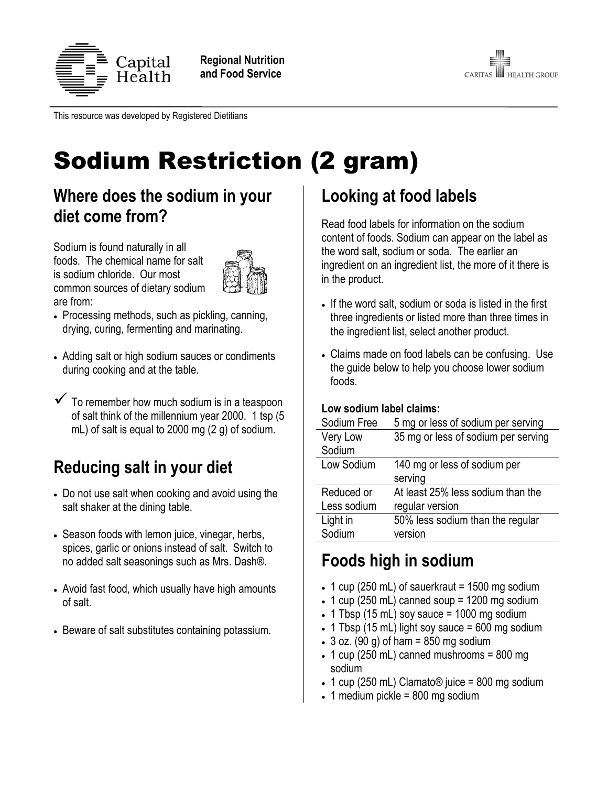

**Regional Nutrition and Food Service**



This resource was developed by Registered Dietitians

# Sodium Restriction (2 gram)

### **Where does the sodium in your diet come from?**

Sodium is found naturally in all foods. The chemical name for salt is sodium chloride. Our most common sources of dietary sodium are from:



- Processing methods, such as pickling, canning, drying, curing, fermenting and marinating.
- Adding salt or high sodium sauces or condiments during cooking and at the table.
- $\checkmark$  To remember how much sodium is in a teaspoon of salt think of the millennium year 2000. 1 tsp (5 mL) of salt is equal to 2000 mg (2 g) of sodium.

# **Reducing salt in your diet**

- Do not use salt when cooking and avoid using the salt shaker at the dining table.
- Season foods with lemon juice, vinegar, herbs, spices, garlic or onions instead of salt. Switch to no added salt seasonings such as Mrs. Dash®.
- Avoid fast food, which usually have high amounts of salt.
- Beware of salt substitutes containing potassium.

# **Looking at food labels**

Read food labels for information on the sodium content of foods. Sodium can appear on the label as the word salt, sodium or soda. The earlier an ingredient on an ingredient list, the more of it there is in the product.

- If the word salt, sodium or soda is listed in the first three ingredients or listed more than three times in the ingredient list, select another product.
- Claims made on food labels can be confusing. Use the guide below to help you choose lower sodium foods.

#### **Low sodium label claims:**

| Sodium Free     | 5 mg or less of sodium per serving  |
|-----------------|-------------------------------------|
| <b>Very Low</b> | 35 mg or less of sodium per serving |
| Sodium          |                                     |
| Low Sodium      | 140 mg or less of sodium per        |
|                 | serving                             |
| Reduced or      | At least 25% less sodium than the   |
| Less sodium     | regular version                     |
| Light in        | 50% less sodium than the regular    |
| Sodium          | version                             |

# **Foods high in sodium**

- $\cdot$  1 cup (250 mL) of sauerkraut = 1500 mg sodium
- $\cdot$  1 cup (250 mL) canned soup = 1200 mg sodium
- $\cdot$  1 Tbsp (15 mL) soy sauce = 1000 mg sodium
- $\cdot$  1 Tbsp (15 mL) light soy sauce = 600 mg sodium
- $\bullet$  3 oz. (90 g) of ham = 850 mg sodium
- $\cdot$  1 cup (250 mL) canned mushrooms = 800 mg sodium
- $\cdot$  1 cup (250 mL) Clamato® juice = 800 mg sodium
- $\cdot$  1 medium pickle = 800 mg sodium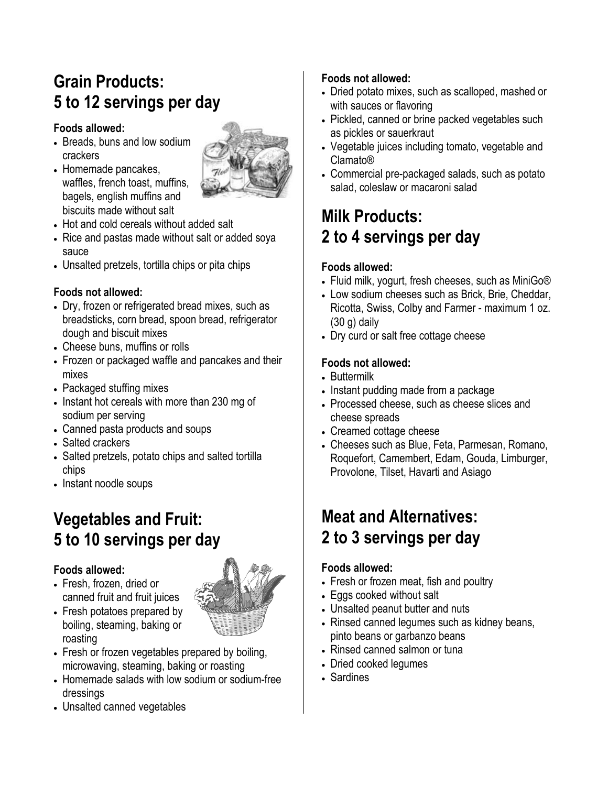# **Grain Products: 5 to 12 servings per day**

#### **Foods allowed:**

- Breads, buns and low sodium crackers
- Homemade pancakes, waffles, french toast, muffins, bagels, english muffins and biscuits made without salt



- Hot and cold cereals without added salt
- Rice and pastas made without salt or added soya sauce
- Unsalted pretzels, tortilla chips or pita chips

### **Foods not allowed:**

- Dry, frozen or refrigerated bread mixes, such as breadsticks, corn bread, spoon bread, refrigerator dough and biscuit mixes
- Cheese buns, muffins or rolls
- Frozen or packaged waffle and pancakes and their mixes
- Packaged stuffing mixes
- Instant hot cereals with more than 230 mg of sodium per serving
- Canned pasta products and soups
- Salted crackers
- Salted pretzels, potato chips and salted tortilla chips
- Instant noodle soups

## **Vegetables and Fruit: 5 to 10 servings per day**

### **Foods allowed:**

 Fresh, frozen, dried or canned fruit and fruit juices



- Fresh potatoes prepared by boiling, steaming, baking or roasting
- Fresh or frozen vegetables prepared by boiling, microwaving, steaming, baking or roasting
- Homemade salads with low sodium or sodium-free dressings
- Unsalted canned vegetables

### **Foods not allowed:**

- Dried potato mixes, such as scalloped, mashed or with sauces or flavoring
- Pickled, canned or brine packed vegetables such as pickles or sauerkraut
- Vegetable juices including tomato, vegetable and Clamato®
- Commercial pre-packaged salads, such as potato salad, coleslaw or macaroni salad

## **Milk Products: 2 to 4 servings per day**

### **Foods allowed:**

- Fluid milk, yogurt, fresh cheeses, such as MiniGo®
- Low sodium cheeses such as Brick, Brie, Cheddar, Ricotta, Swiss, Colby and Farmer - maximum 1 oz. (30 g) daily
- Dry curd or salt free cottage cheese

### **Foods not allowed:**

- Buttermilk
- Instant pudding made from a package
- Processed cheese, such as cheese slices and cheese spreads
- Creamed cottage cheese
- Cheeses such as Blue, Feta, Parmesan, Romano, Roquefort, Camembert, Edam, Gouda, Limburger, Provolone, Tilset, Havarti and Asiago

### **Meat and Alternatives: 2 to 3 servings per day**

### **Foods allowed:**

- Fresh or frozen meat, fish and poultry
- Eggs cooked without salt
- Unsalted peanut butter and nuts
- Rinsed canned legumes such as kidney beans, pinto beans or garbanzo beans
- Rinsed canned salmon or tuna
- Dried cooked legumes
- Sardines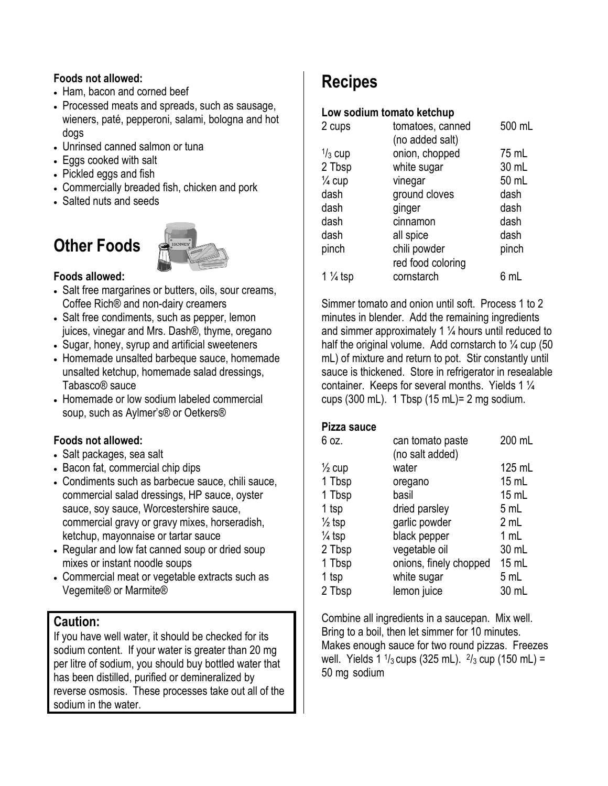#### **Foods not allowed:**

- Ham, bacon and corned beef
- Processed meats and spreads, such as sausage, wieners, paté, pepperoni, salami, bologna and hot dogs
- Unrinsed canned salmon or tuna
- Eggs cooked with salt
- Pickled eggs and fish
- Commercially breaded fish, chicken and pork
- Salted nuts and seeds

# **Other Foods**



#### **Foods allowed:**

- Salt free margarines or butters, oils, sour creams, Coffee Rich® and non-dairy creamers
- Salt free condiments, such as pepper, lemon juices, vinegar and Mrs. Dash®, thyme, oregano
- Sugar, honey, syrup and artificial sweeteners
- Homemade unsalted barbeque sauce, homemade unsalted ketchup, homemade salad dressings, Tabasco® sauce
- Homemade or low sodium labeled commercial soup, such as Aylmer's® or Oetkers®

#### **Foods not allowed:**

- Salt packages, sea salt
- Bacon fat, commercial chip dips
- Condiments such as barbecue sauce, chili sauce, commercial salad dressings, HP sauce, oyster sauce, soy sauce, Worcestershire sauce, commercial gravy or gravy mixes, horseradish, ketchup, mayonnaise or tartar sauce
- Regular and low fat canned soup or dried soup mixes or instant noodle soups
- Commercial meat or vegetable extracts such as Vegemite® or Marmite®

### **Caution:**

If you have well water, it should be checked for its sodium content. If your water is greater than 20 mg per litre of sodium, you should buy bottled water that has been distilled, purified or demineralized by reverse osmosis. These processes take out all of the sodium in the water.

# **Recipes**

#### **Low sodium tomato ketchup**

| 2 cups             | tomatoes, canned  | 500 mL |
|--------------------|-------------------|--------|
|                    | (no added salt)   |        |
| $\frac{1}{3}$ cup  | onion, chopped    | 75 mL  |
| 2 Tbsp             | white sugar       | 30 mL  |
| $\frac{1}{4}$ cup  | vinegar           | 50 mL  |
| dash               | ground cloves     | dash   |
| dash               | ginger            | dash   |
| dash               | cinnamon          | dash   |
| dash               | all spice         | dash   |
| pinch              | chili powder      | pinch  |
|                    | red food coloring |        |
| $1\frac{1}{4}$ tsp | cornstarch        | 6 mL   |
|                    |                   |        |

Simmer tomato and onion until soft. Process 1 to 2 minutes in blender. Add the remaining ingredients and simmer approximately 1  $\frac{1}{4}$  hours until reduced to half the original volume. Add cornstarch to  $\frac{1}{4}$  cup (50) mL) of mixture and return to pot. Stir constantly until sauce is thickened. Store in refrigerator in resealable container. Keeps for several months. Yields 1 ¼ cups  $(300 \text{ mL})$ . 1 Tbsp  $(15 \text{ mL})$  = 2 mg sodium.

#### **Pizza sauce**

| 6 oz.             | can tomato paste       | 200 mL  |
|-------------------|------------------------|---------|
|                   | (no salt added)        |         |
| $\frac{1}{2}$ cup | water                  | 125 mL  |
| 1 Tbsp            | oregano                | 15 mL   |
| 1 Tbsp            | basil                  | $15$ mL |
| 1 tsp             | dried parsley          | 5 mL    |
| $\frac{1}{2}$ tsp | garlic powder          | 2 mL    |
| $\frac{1}{4}$ tsp | black pepper           | 1 mL    |
| 2 Tbsp            | vegetable oil          | 30 mL   |
| 1 Tbsp            | onions, finely chopped | $15$ mL |
| 1 tsp             | white sugar            | 5 mL    |
| 2 Tbsp            | lemon juice            | 30 mL   |
|                   |                        |         |

Combine all ingredients in a saucepan. Mix well. Bring to a boil, then let simmer for 10 minutes. Makes enough sauce for two round pizzas. Freezes well. Yields 1  $\frac{1}{3}$  cups (325 mL).  $\frac{2}{3}$  cup (150 mL) = 50 mg sodium